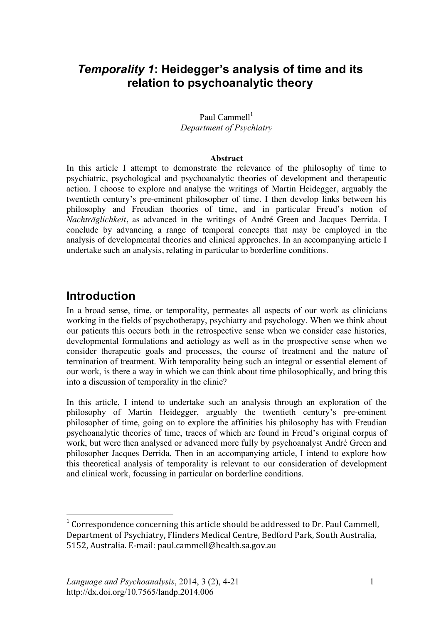## *Temporality 1***: Heidegger's analysis of time and its relation to psychoanalytic theory**

#### Paul Cammell $<sup>1</sup>$ </sup> *Department of Psychiatry*

#### **Abstract**

In this article I attempt to demonstrate the relevance of the philosophy of time to psychiatric, psychological and psychoanalytic theories of development and therapeutic action. I choose to explore and analyse the writings of Martin Heidegger, arguably the twentieth century's pre-eminent philosopher of time. I then develop links between his philosophy and Freudian theories of time, and in particular Freud's notion of *Nachträglichkeit*, as advanced in the writings of André Green and Jacques Derrida. I conclude by advancing a range of temporal concepts that may be employed in the analysis of developmental theories and clinical approaches. In an accompanying article I undertake such an analysis, relating in particular to borderline conditions.

## **Introduction**

 $\overline{a}$ 

In a broad sense, time, or temporality, permeates all aspects of our work as clinicians working in the fields of psychotherapy, psychiatry and psychology. When we think about our patients this occurs both in the retrospective sense when we consider case histories, developmental formulations and aetiology as well as in the prospective sense when we consider therapeutic goals and processes, the course of treatment and the nature of termination of treatment. With temporality being such an integral or essential element of our work, is there a way in which we can think about time philosophically, and bring this into a discussion of temporality in the clinic?

In this article, I intend to undertake such an analysis through an exploration of the philosophy of Martin Heidegger, arguably the twentieth century's pre-eminent philosopher of time, going on to explore the affinities his philosophy has with Freudian psychoanalytic theories of time, traces of which are found in Freud's original corpus of work, but were then analysed or advanced more fully by psychoanalyst André Green and philosopher Jacques Derrida. Then in an accompanying article, I intend to explore how this theoretical analysis of temporality is relevant to our consideration of development and clinical work, focussing in particular on borderline conditions.

<sup>&</sup>lt;sup>1</sup> Correspondence concerning this article should be addressed to Dr. Paul Cammell, Department
of
Psychiatry,
Flinders
Medical
Centre,
Bedford
Park,
South
Australia, 5152,
Australia.
E‐mail:
paul.cammell@health.sa.gov.au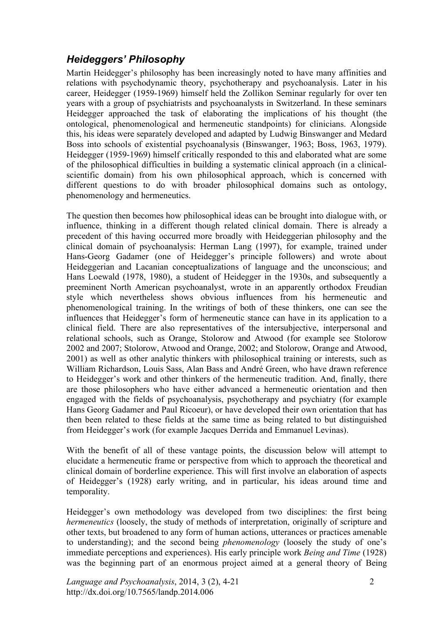### *Heideggers' Philosophy*

Martin Heidegger's philosophy has been increasingly noted to have many affinities and relations with psychodynamic theory, psychotherapy and psychoanalysis. Later in his career, Heidegger (1959-1969) himself held the Zollikon Seminar regularly for over ten years with a group of psychiatrists and psychoanalysts in Switzerland. In these seminars Heidegger approached the task of elaborating the implications of his thought (the ontological, phenomenological and hermeneutic standpoints) for clinicians. Alongside this, his ideas were separately developed and adapted by Ludwig Binswanger and Medard Boss into schools of existential psychoanalysis (Binswanger, 1963; Boss, 1963, 1979). Heidegger (1959-1969) himself critically responded to this and elaborated what are some of the philosophical difficulties in building a systematic clinical approach (in a clinicalscientific domain) from his own philosophical approach, which is concerned with different questions to do with broader philosophical domains such as ontology, phenomenology and hermeneutics.

The question then becomes how philosophical ideas can be brought into dialogue with, or influence, thinking in a different though related clinical domain. There is already a precedent of this having occurred more broadly with Heideggerian philosophy and the clinical domain of psychoanalysis: Herman Lang (1997), for example, trained under Hans-Georg Gadamer (one of Heidegger's principle followers) and wrote about Heideggerian and Lacanian conceptualizations of language and the unconscious; and Hans Loewald (1978, 1980), a student of Heidegger in the 1930s, and subsequently a preeminent North American psychoanalyst, wrote in an apparently orthodox Freudian style which nevertheless shows obvious influences from his hermeneutic and phenomenological training. In the writings of both of these thinkers, one can see the influences that Heidegger's form of hermeneutic stance can have in its application to a clinical field. There are also representatives of the intersubjective, interpersonal and relational schools, such as Orange, Stolorow and Atwood (for example see Stolorow 2002 and 2007; Stolorow, Atwood and Orange, 2002; and Stolorow, Orange and Atwood, 2001) as well as other analytic thinkers with philosophical training or interests, such as William Richardson, Louis Sass, Alan Bass and André Green, who have drawn reference to Heidegger's work and other thinkers of the hermeneutic tradition. And, finally, there are those philosophers who have either advanced a hermeneutic orientation and then engaged with the fields of psychoanalysis, psychotherapy and psychiatry (for example Hans Georg Gadamer and Paul Ricoeur), or have developed their own orientation that has then been related to these fields at the same time as being related to but distinguished from Heidegger's work (for example Jacques Derrida and Emmanuel Levinas).

With the benefit of all of these vantage points, the discussion below will attempt to elucidate a hermeneutic frame or perspective from which to approach the theoretical and clinical domain of borderline experience. This will first involve an elaboration of aspects of Heidegger's (1928) early writing, and in particular, his ideas around time and temporality.

Heidegger's own methodology was developed from two disciplines: the first being *hermeneutics* (loosely, the study of methods of interpretation, originally of scripture and other texts, but broadened to any form of human actions, utterances or practices amenable to understanding); and the second being *phenomenology* (loosely the study of one's immediate perceptions and experiences). His early principle work *Being and Time* (1928) was the beginning part of an enormous project aimed at a general theory of Being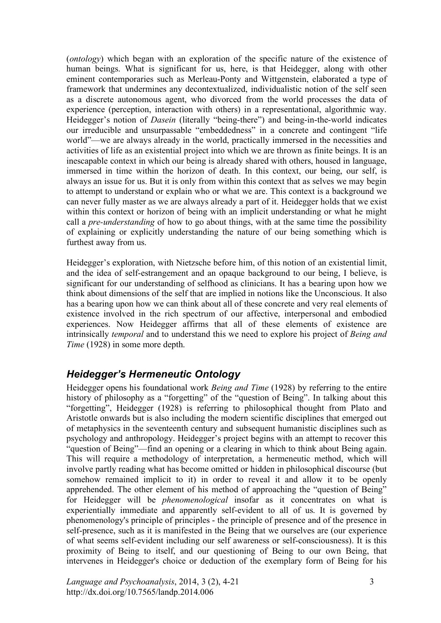(*ontology*) which began with an exploration of the specific nature of the existence of human beings. What is significant for us, here, is that Heidegger, along with other eminent contemporaries such as Merleau-Ponty and Wittgenstein, elaborated a type of framework that undermines any decontextualized, individualistic notion of the self seen as a discrete autonomous agent, who divorced from the world processes the data of experience (perception, interaction with others) in a representational, algorithmic way. Heidegger's notion of *Dasein* (literally "being-there") and being-in-the-world indicates our irreducible and unsurpassable "embeddedness" in a concrete and contingent "life world"—we are always already in the world, practically immersed in the necessities and activities of life as an existential project into which we are thrown as finite beings. It is an inescapable context in which our being is already shared with others, housed in language, immersed in time within the horizon of death. In this context, our being, our self, is always an issue for us. But it is only from within this context that as selves we may begin to attempt to understand or explain who or what we are. This context is a background we can never fully master as we are always already a part of it. Heidegger holds that we exist within this context or horizon of being with an implicit understanding or what he might call a *pre-understanding* of how to go about things, with at the same time the possibility of explaining or explicitly understanding the nature of our being something which is furthest away from us.

Heidegger's exploration, with Nietzsche before him, of this notion of an existential limit, and the idea of self-estrangement and an opaque background to our being, I believe, is significant for our understanding of selfhood as clinicians. It has a bearing upon how we think about dimensions of the self that are implied in notions like the Unconscious. It also has a bearing upon how we can think about all of these concrete and very real elements of existence involved in the rich spectrum of our affective, interpersonal and embodied experiences. Now Heidegger affirms that all of these elements of existence are intrinsically *temporal* and to understand this we need to explore his project of *Being and Time* (1928) in some more depth.

#### *Heidegger's Hermeneutic Ontology*

Heidegger opens his foundational work *Being and Time* (1928) by referring to the entire history of philosophy as a "forgetting" of the "question of Being". In talking about this "forgetting", Heidegger (1928) is referring to philosophical thought from Plato and Aristotle onwards but is also including the modern scientific disciplines that emerged out of metaphysics in the seventeenth century and subsequent humanistic disciplines such as psychology and anthropology. Heidegger's project begins with an attempt to recover this "question of Being"—find an opening or a clearing in which to think about Being again. This will require a methodology of interpretation, a hermeneutic method, which will involve partly reading what has become omitted or hidden in philosophical discourse (but somehow remained implicit to it) in order to reveal it and allow it to be openly apprehended. The other element of his method of approaching the "question of Being" for Heidegger will be *phenomenological* insofar as it concentrates on what is experientially immediate and apparently self-evident to all of us. It is governed by phenomenology's principle of principles - the principle of presence and of the presence in self-presence, such as it is manifested in the Being that we ourselves are (our experience of what seems self-evident including our self awareness or self-consciousness). It is this proximity of Being to itself, and our questioning of Being to our own Being, that intervenes in Heidegger's choice or deduction of the exemplary form of Being for his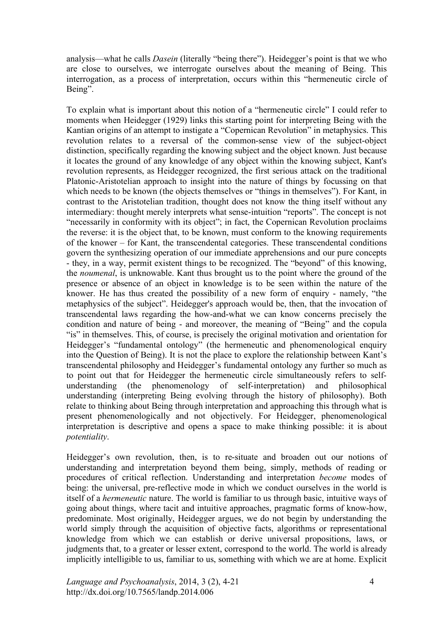analysis—what he calls *Dasein* (literally "being there"). Heidegger's point is that we who are close to ourselves, we interrogate ourselves about the meaning of Being. This interrogation, as a process of interpretation, occurs within this "hermeneutic circle of Being".

To explain what is important about this notion of a "hermeneutic circle" I could refer to moments when Heidegger (1929) links this starting point for interpreting Being with the Kantian origins of an attempt to instigate a "Copernican Revolution" in metaphysics. This revolution relates to a reversal of the common-sense view of the subject-object distinction, specifically regarding the knowing subject and the object known. Just because it locates the ground of any knowledge of any object within the knowing subject, Kant's revolution represents, as Heidegger recognized, the first serious attack on the traditional Platonic-Aristotelian approach to insight into the nature of things by focussing on that which needs to be known (the objects themselves or "things in themselves"). For Kant, in contrast to the Aristotelian tradition, thought does not know the thing itself without any intermediary: thought merely interprets what sense-intuition "reports". The concept is not "necessarily in conformity with its object"; in fact, the Copernican Revolution proclaims the reverse: it is the object that, to be known, must conform to the knowing requirements of the knower – for Kant, the transcendental categories. These transcendental conditions govern the synthesizing operation of our immediate apprehensions and our pure concepts - they, in a way, permit existent things to be recognized. The "beyond" of this knowing, the *noumenal*, is unknowable. Kant thus brought us to the point where the ground of the presence or absence of an object in knowledge is to be seen within the nature of the knower. He has thus created the possibility of a new form of enquiry - namely, "the metaphysics of the subject". Heidegger's approach would be, then, that the invocation of transcendental laws regarding the how-and-what we can know concerns precisely the condition and nature of being - and moreover, the meaning of "Being" and the copula "is" in themselves. This, of course, is precisely the original motivation and orientation for Heidegger's "fundamental ontology" (the hermeneutic and phenomenological enquiry into the Question of Being). It is not the place to explore the relationship between Kant's transcendental philosophy and Heidegger's fundamental ontology any further so much as to point out that for Heidegger the hermeneutic circle simultaneously refers to selfunderstanding (the phenomenology of self-interpretation) and philosophical understanding (interpreting Being evolving through the history of philosophy). Both relate to thinking about Being through interpretation and approaching this through what is present phenomenologically and not objectively. For Heidegger, phenomenological interpretation is descriptive and opens a space to make thinking possible: it is about *potentiality*.

Heidegger's own revolution, then, is to re-situate and broaden out our notions of understanding and interpretation beyond them being, simply, methods of reading or procedures of critical reflection. Understanding and interpretation *become* modes of being: the universal, pre-reflective mode in which we conduct ourselves in the world is itself of a *hermeneutic* nature. The world is familiar to us through basic, intuitive ways of going about things, where tacit and intuitive approaches, pragmatic forms of know-how, predominate. Most originally, Heidegger argues, we do not begin by understanding the world simply through the acquisition of objective facts, algorithms or representational knowledge from which we can establish or derive universal propositions, laws, or judgments that, to a greater or lesser extent, correspond to the world. The world is already implicitly intelligible to us, familiar to us, something with which we are at home. Explicit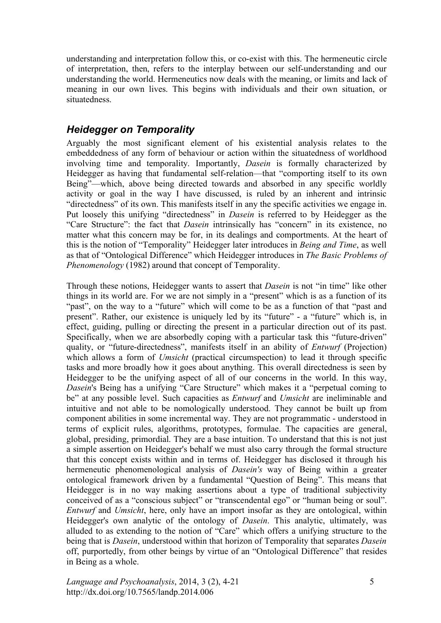understanding and interpretation follow this, or co-exist with this. The hermeneutic circle of interpretation, then, refers to the interplay between our self-understanding and our understanding the world. Hermeneutics now deals with the meaning, or limits and lack of meaning in our own lives. This begins with individuals and their own situation, or situatedness.

#### *Heidegger on Temporality*

Arguably the most significant element of his existential analysis relates to the embeddedness of any form of behaviour or action within the situatedness of worldhood involving time and temporality. Importantly, *Dasein* is formally characterized by Heidegger as having that fundamental self-relation—that "comporting itself to its own Being"—which, above being directed towards and absorbed in any specific worldly activity or goal in the way I have discussed, is ruled by an inherent and intrinsic "directedness" of its own. This manifests itself in any the specific activities we engage in. Put loosely this unifying "directedness" in *Dasein* is referred to by Heidegger as the "Care Structure": the fact that *Dasein* intrinsically has "concern" in its existence, no matter what this concern may be for, in its dealings and comportments. At the heart of this is the notion of "Temporality" Heidegger later introduces in *Being and Time*, as well as that of "Ontological Difference" which Heidegger introduces in *The Basic Problems of Phenomenology* (1982) around that concept of Temporality.

Through these notions, Heidegger wants to assert that *Dasein* is not "in time" like other things in its world are. For we are not simply in a "present" which is as a function of its "past", on the way to a "future" which will come to be as a function of that "past and present". Rather, our existence is uniquely led by its "future" - a "future" which is, in effect, guiding, pulling or directing the present in a particular direction out of its past. Specifically, when we are absorbedly coping with a particular task this "future-driven" quality, or "future-directedness", manifests itself in an ability of *Entwurf* (Projection) which allows a form of *Umsicht* (practical circumspection) to lead it through specific tasks and more broadly how it goes about anything. This overall directedness is seen by Heidegger to be the unifying aspect of all of our concerns in the world. In this way, *Dasein*'s Being has a unifying "Care Structure" which makes it a "perpetual coming to be" at any possible level. Such capacities as *Entwurf* and *Umsicht* are ineliminable and intuitive and not able to be nomologically understood. They cannot be built up from component abilities in some incremental way. They are not programmatic - understood in terms of explicit rules, algorithms, prototypes, formulae. The capacities are general, global, presiding, primordial. They are a base intuition. To understand that this is not just a simple assertion on Heidegger's behalf we must also carry through the formal structure that this concept exists within and in terms of. Heidegger has disclosed it through his hermeneutic phenomenological analysis of *Dasein's* way of Being within a greater ontological framework driven by a fundamental "Question of Being". This means that Heidegger is in no way making assertions about a type of traditional subjectivity conceived of as a "conscious subject" or "transcendental ego" or "human being or soul". *Entwurf* and *Umsicht*, here, only have an import insofar as they are ontological, within Heidegger's own analytic of the ontology of *Dasein*. This analytic, ultimately, was alluded to as extending to the notion of "Care" which offers a unifying structure to the being that is *Dasein*, understood within that horizon of Temporality that separates *Dasein* off, purportedly, from other beings by virtue of an "Ontological Difference" that resides in Being as a whole.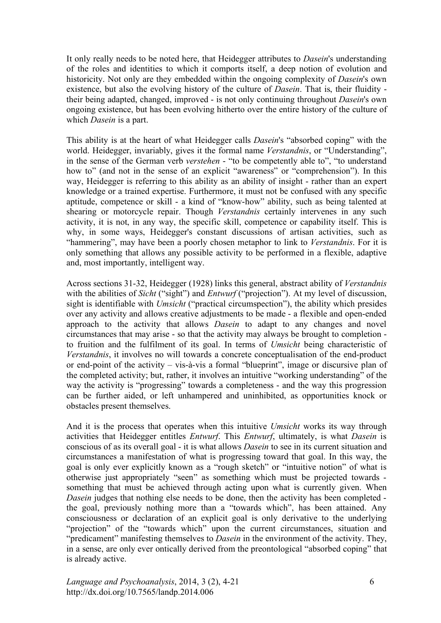It only really needs to be noted here, that Heidegger attributes to *Dasein*'s understanding of the roles and identities to which it comports itself, a deep notion of evolution and historicity. Not only are they embedded within the ongoing complexity of *Dasein*'s own existence, but also the evolving history of the culture of *Dasein*. That is, their fluidity their being adapted, changed, improved - is not only continuing throughout *Dasein*'s own ongoing existence, but has been evolving hitherto over the entire history of the culture of which *Dasein* is a part.

This ability is at the heart of what Heidegger calls *Dasein*'s "absorbed coping" with the world. Heidegger, invariably, gives it the formal name *Verstandnis*, or "Understanding", in the sense of the German verb *verstehen* - "to be competently able to", "to understand how to" (and not in the sense of an explicit "awareness" or "comprehension"). In this way, Heidegger is referring to this ability as an ability of insight - rather than an expert knowledge or a trained expertise. Furthermore, it must not be confused with any specific aptitude, competence or skill - a kind of "know-how" ability, such as being talented at shearing or motorcycle repair. Though *Verstandnis* certainly intervenes in any such activity, it is not, in any way, the specific skill, competence or capability itself. This is why, in some ways, Heidegger's constant discussions of artisan activities, such as "hammering", may have been a poorly chosen metaphor to link to *Verstandnis*. For it is only something that allows any possible activity to be performed in a flexible, adaptive and, most importantly, intelligent way.

Across sections 31-32, Heidegger (1928) links this general, abstract ability of *Verstandnis* with the abilities of *Sicht* ("sight") and *Entwurf* ("projection"). At my level of discussion, sight is identifiable with *Umsicht* ("practical circumspection"), the ability which presides over any activity and allows creative adjustments to be made - a flexible and open-ended approach to the activity that allows *Dasein* to adapt to any changes and novel circumstances that may arise - so that the activity may always be brought to completion to fruition and the fulfilment of its goal. In terms of *Umsicht* being characteristic of *Verstandnis*, it involves no will towards a concrete conceptualisation of the end-product or end-point of the activity – vis-à-vis a formal "blueprint", image or discursive plan of the completed activity; but, rather, it involves an intuitive "working understanding" of the way the activity is "progressing" towards a completeness - and the way this progression can be further aided, or left unhampered and uninhibited, as opportunities knock or obstacles present themselves.

And it is the process that operates when this intuitive *Umsicht* works its way through activities that Heidegger entitles *Entwurf*. This *Entwurf*, ultimately, is what *Dasein* is conscious of as its overall goal - it is what allows *Dasein* to see in its current situation and circumstances a manifestation of what is progressing toward that goal. In this way, the goal is only ever explicitly known as a "rough sketch" or "intuitive notion" of what is otherwise just appropriately "seen" as something which must be projected towards something that must be achieved through acting upon what is currently given. When *Dasein* judges that nothing else needs to be done, then the activity has been completed the goal, previously nothing more than a "towards which", has been attained. Any consciousness or declaration of an explicit goal is only derivative to the underlying "projection" of the "towards which" upon the current circumstances, situation and "predicament" manifesting themselves to *Dasein* in the environment of the activity. They, in a sense, are only ever ontically derived from the preontological "absorbed coping" that is already active.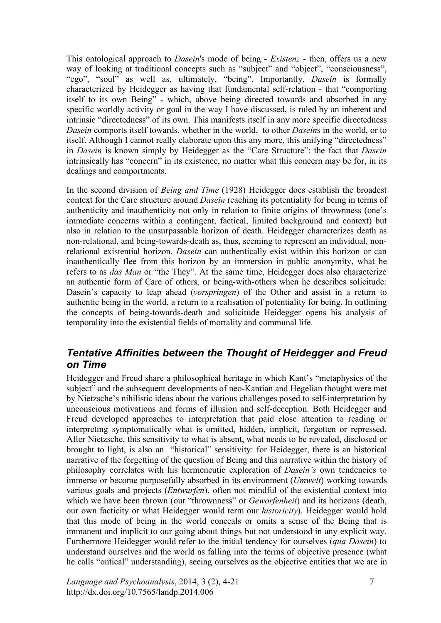This ontological approach to *Dasein*'s mode of being - *Existenz* - then, offers us a new way of looking at traditional concepts such as "subject" and "object", "consciousness", "ego", "soul" as well as, ultimately, "being". Importantly, *Dasein* is formally characterized by Heidegger as having that fundamental self-relation - that "comporting itself to its own Being" - which, above being directed towards and absorbed in any specific worldly activity or goal in the way I have discussed, is ruled by an inherent and intrinsic "directedness" of its own. This manifests itself in any more specific directedness *Dasein* comports itself towards, whether in the world, to other *Dasein*s in the world, or to itself. Although I cannot really elaborate upon this any more, this unifying "directedness" in *Dasein* is known simply by Heidegger as the "Care Structure": the fact that *Dasein* intrinsically has "concern" in its existence, no matter what this concern may be for, in its dealings and comportments.

In the second division of *Being and Time* (1928) Heidegger does establish the broadest context for the Care structure around *Dasein* reaching its potentiality for being in terms of authenticity and inauthenticity not only in relation to finite origins of thrownness (one's immediate concerns within a contingent, factical, limited background and context) but also in relation to the unsurpassable horizon of death. Heidegger characterizes death as non-relational, and being-towards-death as, thus, seeming to represent an individual, nonrelational existential horizon. *Dasein* can authentically exist within this horizon or can inauthentically flee from this horizon by an immersion in public anonymity, what he refers to as *das Man* or "the They". At the same time, Heidegger does also characterize an authentic form of Care of others, or being-with-others when he describes solicitude: Dasein's capacity to leap ahead (*vorspringen*) of the Other and assist in a return to authentic being in the world, a return to a realisation of potentiality for being. In outlining the concepts of being-towards-death and solicitude Heidegger opens his analysis of temporality into the existential fields of mortality and communal life.

#### *Tentative Affinities between the Thought of Heidegger and Freud on Time*

Heidegger and Freud share a philosophical heritage in which Kant's "metaphysics of the subject" and the subsequent developments of neo-Kantian and Hegelian thought were met by Nietzsche's nihilistic ideas about the various challenges posed to self-interpretation by unconscious motivations and forms of illusion and self-deception. Both Heidegger and Freud developed approaches to interpretation that paid close attention to reading or interpreting symptomatically what is omitted, hidden, implicit, forgotten or repressed. After Nietzsche, this sensitivity to what is absent, what needs to be revealed, disclosed or brought to light, is also an "historical" sensitivity: for Heidegger, there is an historical narrative of the forgetting of the question of Being and this narrative within the history of philosophy correlates with his hermeneutic exploration of *Dasein's* own tendencies to immerse or become purposefully absorbed in its environment (*Umwelt*) working towards various goals and projects (*Entwurfen*), often not mindful of the existential context into which we have been thrown (our "thrownness" or *Geworfenheit*) and its horizons (death, our own facticity or what Heidegger would term our *historicity*). Heidegger would hold that this mode of being in the world conceals or omits a sense of the Being that is immanent and implicit to our going about things but not understood in any explicit way. Furthermore Heidegger would refer to the initial tendency for ourselves (*qua Dasein*) to understand ourselves and the world as falling into the terms of objective presence (what he calls "ontical" understanding), seeing ourselves as the objective entities that we are in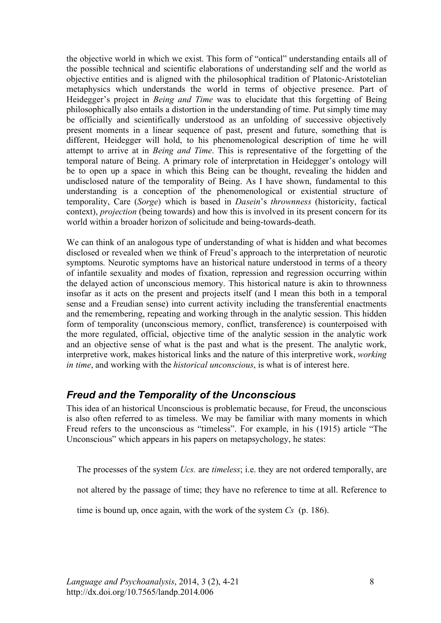the objective world in which we exist. This form of "ontical" understanding entails all of the possible technical and scientific elaborations of understanding self and the world as objective entities and is aligned with the philosophical tradition of Platonic-Aristotelian metaphysics which understands the world in terms of objective presence. Part of Heidegger's project in *Being and Time* was to elucidate that this forgetting of Being philosophically also entails a distortion in the understanding of time. Put simply time may be officially and scientifically understood as an unfolding of successive objectively present moments in a linear sequence of past, present and future, something that is different, Heidegger will hold, to his phenomenological description of time he will attempt to arrive at in *Being and Time*. This is representative of the forgetting of the temporal nature of Being. A primary role of interpretation in Heidegger's ontology will be to open up a space in which this Being can be thought, revealing the hidden and undisclosed nature of the temporality of Being. As I have shown, fundamental to this understanding is a conception of the phenomenological or existential structure of temporality, Care (*Sorge*) which is based in *Dasein*'s *thrownness* (historicity, factical context), *projection* (being towards) and how this is involved in its present concern for its world within a broader horizon of solicitude and being-towards-death.

We can think of an analogous type of understanding of what is hidden and what becomes disclosed or revealed when we think of Freud's approach to the interpretation of neurotic symptoms. Neurotic symptoms have an historical nature understood in terms of a theory of infantile sexuality and modes of fixation, repression and regression occurring within the delayed action of unconscious memory. This historical nature is akin to thrownness insofar as it acts on the present and projects itself (and I mean this both in a temporal sense and a Freudian sense) into current activity including the transferential enactments and the remembering, repeating and working through in the analytic session. This hidden form of temporality (unconscious memory, conflict, transference) is counterpoised with the more regulated, official, objective time of the analytic session in the analytic work and an objective sense of what is the past and what is the present. The analytic work, interpretive work, makes historical links and the nature of this interpretive work, *working in time*, and working with the *historical unconscious*, is what is of interest here.

#### *Freud and the Temporality of the Unconscious*

This idea of an historical Unconscious is problematic because, for Freud, the unconscious is also often referred to as timeless. We may be familiar with many moments in which Freud refers to the unconscious as "timeless". For example, in his (1915) article "The Unconscious" which appears in his papers on metapsychology, he states:

The processes of the system *Ucs.* are *timeless*; i.e. they are not ordered temporally, are

not altered by the passage of time; they have no reference to time at all. Reference to

time is bound up, once again, with the work of the system *Cs* (p. 186).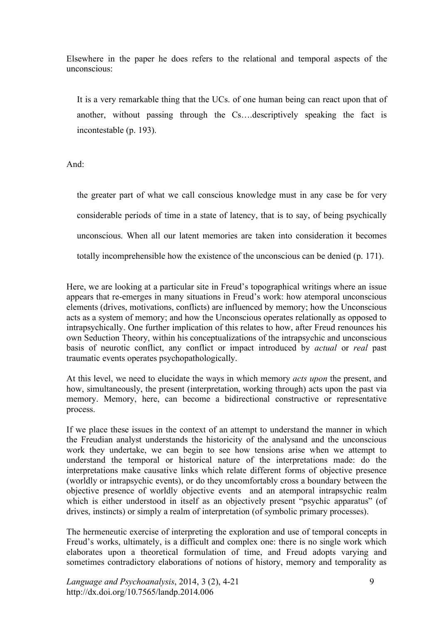Elsewhere in the paper he does refers to the relational and temporal aspects of the unconscious:

It is a very remarkable thing that the UCs. of one human being can react upon that of another, without passing through the Cs….descriptively speaking the fact is incontestable (p. 193).

And:

the greater part of what we call conscious knowledge must in any case be for very considerable periods of time in a state of latency, that is to say, of being psychically unconscious. When all our latent memories are taken into consideration it becomes totally incomprehensible how the existence of the unconscious can be denied (p. 171).

Here, we are looking at a particular site in Freud's topographical writings where an issue appears that re-emerges in many situations in Freud's work: how atemporal unconscious elements (drives, motivations, conflicts) are influenced by memory; how the Unconscious acts as a system of memory; and how the Unconscious operates relationally as opposed to intrapsychically. One further implication of this relates to how, after Freud renounces his own Seduction Theory, within his conceptualizations of the intrapsychic and unconscious basis of neurotic conflict, any conflict or impact introduced by *actual* or *real* past traumatic events operates psychopathologically.

At this level, we need to elucidate the ways in which memory *acts upon* the present, and how, simultaneously, the present (interpretation, working through) acts upon the past via memory. Memory, here, can become a bidirectional constructive or representative process.

If we place these issues in the context of an attempt to understand the manner in which the Freudian analyst understands the historicity of the analysand and the unconscious work they undertake, we can begin to see how tensions arise when we attempt to understand the temporal or historical nature of the interpretations made: do the interpretations make causative links which relate different forms of objective presence (worldly or intrapsychic events), or do they uncomfortably cross a boundary between the objective presence of worldly objective events and an atemporal intrapsychic realm which is either understood in itself as an objectively present "psychic apparatus" (of drives, instincts) or simply a realm of interpretation (of symbolic primary processes).

The hermeneutic exercise of interpreting the exploration and use of temporal concepts in Freud's works, ultimately, is a difficult and complex one: there is no single work which elaborates upon a theoretical formulation of time, and Freud adopts varying and sometimes contradictory elaborations of notions of history, memory and temporality as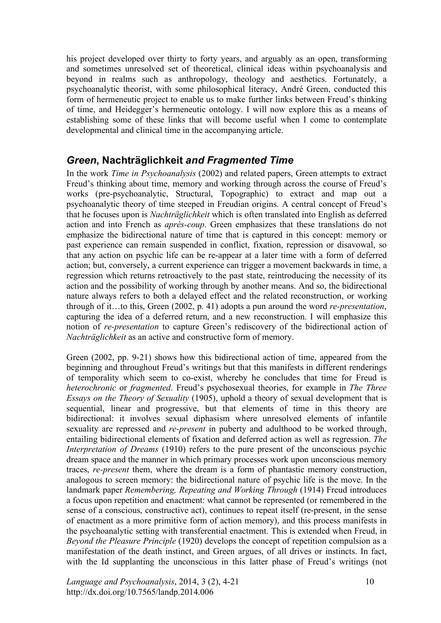his project developed over thirty to forty years, and arguably as an open, transforming and sometimes unresolved set of theoretical, clinical ideas within psychoanalysis and beyond in realms such as anthropology, theology and aesthetics. Fortunately, a psychoanalytic theorist, with some philosophical literacy, André Green, conducted this form of hermeneutic project to enable us to make further links between Freud's thinking of time, and Heidegger's hermeneutic ontology. I will now explore this as a means of establishing some of these links that will become useful when I come to contemplate developmental and clinical time in the accompanying article.

#### *Green***, Nachträglichkeit** *and Fragmented Time*

In the work *Time in Psychoanalysis* (2002) and related papers, Green attempts to extract Freud's thinking about time, memory and working through across the course of Freud's works (pre-psychoanalytic, Structural, Topographic) to extract and map out a psychoanalytic theory of time steeped in Freudian origins. A central concept of Freud's that he focuses upon is *Nachträglichkeit* which is often translated into English as deferred action and into French as *après-coup*. Green emphasizes that these translations do not emphasize the bidirectional nature of time that is captured in this concept: memory or past experience can remain suspended in conflict, fixation, repression or disavowal, so that any action on psychic life can be re-appear at a later time with a form of deferred action; but, conversely, a current experience can trigger a movement backwards in time, a regression which returns retroactively to the past state, reintroducing the necessity of its action and the possibility of working through by another means. And so, the bidirectional nature always refers to both a delayed effect and the related reconstruction, or working through of it…to this, Green (2002, p. 41) adopts a pun around the word *re-presentation*, capturing the idea of a deferred return, and a new reconstruction. I will emphasize this notion of *re-presentation* to capture Green's rediscovery of the bidirectional action of *Nachträglichkeit* as an active and constructive form of memory.

Green (2002, pp. 9-21) shows how this bidirectional action of time, appeared from the beginning and throughout Freud's writings but that this manifests in different renderings of temporality which seem to co-exist, whereby he concludes that time for Freud is *heterochronic* or *fragmented*. Freud's psychosexual theories, for example in *The Three Essays on the Theory of Sexuality* (1905), uphold a theory of sexual development that is sequential, linear and progressive, but that elements of time in this theory are bidirectional: it involves sexual diphasism where unresolved elements of infantile sexuality are repressed and *re-present* in puberty and adulthood to be worked through, entailing bidirectional elements of fixation and deferred action as well as regression. *The Interpretation of Dreams* (1910) refers to the pure present of the unconscious psychic dream space and the manner in which primary processes work upon unconscious memory traces, *re-present* them, where the dream is a form of phantastic memory construction, analogous to screen memory: the bidirectional nature of psychic life is the move. In the landmark paper *Remembering, Repeating and Working Through* (1914) Freud introduces a focus upon repetition and enactment: what cannot be represented (or remembered in the sense of a conscious, constructive act), continues to repeat itself (re-present, in the sense of enactment as a more primitive form of action memory), and this process manifests in the psychoanalytic setting with transferential enactment. This is extended when Freud, in *Beyond the Pleasure Principle* (1920) develops the concept of repetition compulsion as a manifestation of the death instinct, and Green argues, of all drives or instincts. In fact, with the Id supplanting the unconscious in this latter phase of Freud's writings (not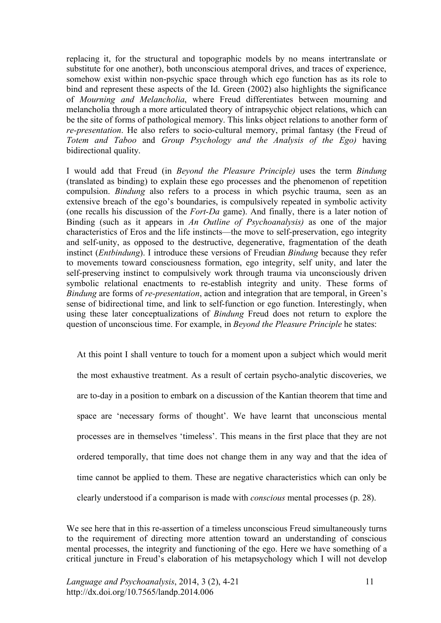replacing it, for the structural and topographic models by no means intertranslate or substitute for one another), both unconscious atemporal drives, and traces of experience, somehow exist within non-psychic space through which ego function has as its role to bind and represent these aspects of the Id. Green (2002) also highlights the significance of *Mourning and Melancholia*, where Freud differentiates between mourning and melancholia through a more articulated theory of intrapsychic object relations, which can be the site of forms of pathological memory. This links object relations to another form of *re-presentation*. He also refers to socio-cultural memory, primal fantasy (the Freud of *Totem and Taboo* and *Group Psychology and the Analysis of the Ego)* having bidirectional quality.

I would add that Freud (in *Beyond the Pleasure Principle)* uses the term *Bindung* (translated as binding) to explain these ego processes and the phenomenon of repetition compulsion. *Bindung* also refers to a process in which psychic trauma, seen as an extensive breach of the ego's boundaries, is compulsively repeated in symbolic activity (one recalls his discussion of the *Fort-Da* game). And finally, there is a later notion of Binding (such as it appears in *An Outline of Psychoanalysis)* as one of the major characteristics of Eros and the life instincts—the move to self-preservation, ego integrity and self-unity, as opposed to the destructive, degenerative, fragmentation of the death instinct (*Entbindung*). I introduce these versions of Freudian *Bindung* because they refer to movements toward consciousness formation, ego integrity, self unity, and later the self-preserving instinct to compulsively work through trauma via unconsciously driven symbolic relational enactments to re-establish integrity and unity. These forms of *Bindung* are forms of *re-presentation*, action and integration that are temporal, in Green's sense of bidirectional time, and link to self-function or ego function. Interestingly, when using these later conceptualizations of *Bindung* Freud does not return to explore the question of unconscious time. For example, in *Beyond the Pleasure Principle* he states:

At this point I shall venture to touch for a moment upon a subject which would merit the most exhaustive treatment. As a result of certain psycho-analytic discoveries, we are to-day in a position to embark on a discussion of the Kantian theorem that time and space are 'necessary forms of thought'. We have learnt that unconscious mental processes are in themselves 'timeless'. This means in the first place that they are not ordered temporally, that time does not change them in any way and that the idea of time cannot be applied to them. These are negative characteristics which can only be clearly understood if a comparison is made with *conscious* mental processes (p. 28).

We see here that in this re-assertion of a timeless unconscious Freud simultaneously turns to the requirement of directing more attention toward an understanding of conscious mental processes, the integrity and functioning of the ego. Here we have something of a critical juncture in Freud's elaboration of his metapsychology which I will not develop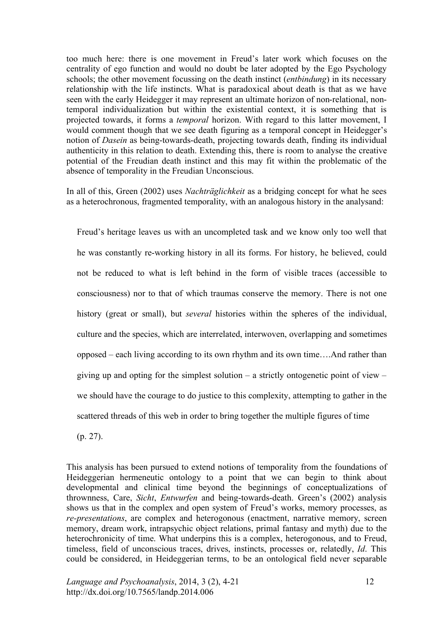too much here: there is one movement in Freud's later work which focuses on the centrality of ego function and would no doubt be later adopted by the Ego Psychology schools; the other movement focussing on the death instinct (*entbindung*) in its necessary relationship with the life instincts. What is paradoxical about death is that as we have seen with the early Heidegger it may represent an ultimate horizon of non-relational, nontemporal individualization but within the existential context, it is something that is projected towards, it forms a *temporal* horizon. With regard to this latter movement, I would comment though that we see death figuring as a temporal concept in Heidegger's notion of *Dasein* as being-towards-death, projecting towards death, finding its individual authenticity in this relation to death. Extending this, there is room to analyse the creative potential of the Freudian death instinct and this may fit within the problematic of the absence of temporality in the Freudian Unconscious.

In all of this, Green (2002) uses *Nachträglichkeit* as a bridging concept for what he sees as a heterochronous, fragmented temporality, with an analogous history in the analysand:

Freud's heritage leaves us with an uncompleted task and we know only too well that he was constantly re-working history in all its forms. For history, he believed, could not be reduced to what is left behind in the form of visible traces (accessible to consciousness) nor to that of which traumas conserve the memory. There is not one history (great or small), but *several* histories within the spheres of the individual, culture and the species, which are interrelated, interwoven, overlapping and sometimes opposed – each living according to its own rhythm and its own time….And rather than giving up and opting for the simplest solution – a strictly ontogenetic point of view – we should have the courage to do justice to this complexity, attempting to gather in the scattered threads of this web in order to bring together the multiple figures of time

(p. 27).

This analysis has been pursued to extend notions of temporality from the foundations of Heideggerian hermeneutic ontology to a point that we can begin to think about developmental and clinical time beyond the beginnings of conceptualizations of thrownness, Care, *Sicht*, *Entwurfen* and being-towards-death. Green's (2002) analysis shows us that in the complex and open system of Freud's works, memory processes, as *re-presentations*, are complex and heterogonous (enactment, narrative memory, screen memory, dream work, intrapsychic object relations, primal fantasy and myth) due to the heterochronicity of time. What underpins this is a complex, heterogonous, and to Freud, timeless, field of unconscious traces, drives, instincts, processes or, relatedly, *Id*. This could be considered, in Heideggerian terms, to be an ontological field never separable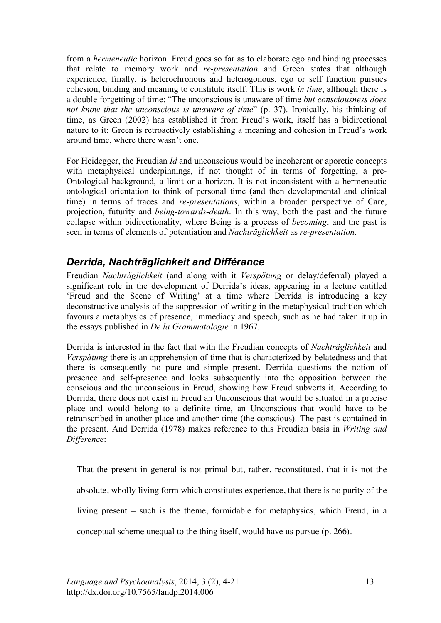from a *hermeneutic* horizon. Freud goes so far as to elaborate ego and binding processes that relate to memory work and *re-presentation* and Green states that although experience, finally, is heterochronous and heterogonous, ego or self function pursues cohesion, binding and meaning to constitute itself. This is work *in time*, although there is a double forgetting of time: "The unconscious is unaware of time *but consciousness does not know that the unconscious is unaware of time*" (p. 37). Ironically, his thinking of time, as Green (2002) has established it from Freud's work, itself has a bidirectional nature to it: Green is retroactively establishing a meaning and cohesion in Freud's work around time, where there wasn't one.

For Heidegger, the Freudian *Id* and unconscious would be incoherent or aporetic concepts with metaphysical underpinnings, if not thought of in terms of forgetting, a pre-Ontological background, a limit or a horizon. It is not inconsistent with a hermeneutic ontological orientation to think of personal time (and then developmental and clinical time) in terms of traces and *re-presentations*, within a broader perspective of Care, projection, futurity and *being-towards-death*. In this way, both the past and the future collapse within bidirectionality, where Being is a process of *becoming*, and the past is seen in terms of elements of potentiation and *Nachträglichkeit* as *re-presentation*.

#### *Derrida, Nachträglichkeit and Différance*

Freudian *Nachträglichkeit* (and along with it *Verspätung* or delay/deferral) played a significant role in the development of Derrida's ideas, appearing in a lecture entitled 'Freud and the Scene of Writing' at a time where Derrida is introducing a key deconstructive analysis of the suppression of writing in the metaphysical tradition which favours a metaphysics of presence, immediacy and speech, such as he had taken it up in the essays published in *De la Grammatologie* in 1967.

Derrida is interested in the fact that with the Freudian concepts of *Nachträglichkeit* and *Verspätung* there is an apprehension of time that is characterized by belatedness and that there is consequently no pure and simple present. Derrida questions the notion of presence and self-presence and looks subsequently into the opposition between the conscious and the unconscious in Freud, showing how Freud subverts it. According to Derrida, there does not exist in Freud an Unconscious that would be situated in a precise place and would belong to a definite time, an Unconscious that would have to be retranscribed in another place and another time (the conscious). The past is contained in the present. And Derrida (1978) makes reference to this Freudian basis in *Writing and Difference*:

That the present in general is not primal but, rather, reconstituted, that it is not the absolute, wholly living form which constitutes experience, that there is no purity of the living present – such is the theme, formidable for metaphysics, which Freud, in a conceptual scheme unequal to the thing itself, would have us pursue (p. 266).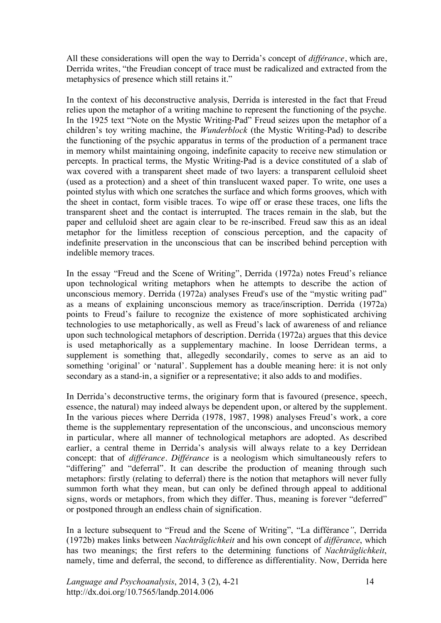All these considerations will open the way to Derrida's concept of *différance*, which are, Derrida writes, "the Freudian concept of trace must be radicalized and extracted from the metaphysics of presence which still retains it."

In the context of his deconstructive analysis, Derrida is interested in the fact that Freud relies upon the metaphor of a writing machine to represent the functioning of the psyche. In the 1925 text "Note on the Mystic Writing-Pad" Freud seizes upon the metaphor of a children's toy writing machine, the *Wunderblock* (the Mystic Writing-Pad) to describe the functioning of the psychic apparatus in terms of the production of a permanent trace in memory whilst maintaining ongoing, indefinite capacity to receive new stimulation or percepts. In practical terms, the Mystic Writing-Pad is a device constituted of a slab of wax covered with a transparent sheet made of two layers: a transparent celluloid sheet (used as a protection) and a sheet of thin translucent waxed paper. To write, one uses a pointed stylus with which one scratches the surface and which forms grooves, which with the sheet in contact, form visible traces. To wipe off or erase these traces, one lifts the transparent sheet and the contact is interrupted. The traces remain in the slab, but the paper and celluloid sheet are again clear to be re-inscribed. Freud saw this as an ideal metaphor for the limitless reception of conscious perception, and the capacity of indefinite preservation in the unconscious that can be inscribed behind perception with indelible memory traces.

In the essay "Freud and the Scene of Writing", Derrida (1972a) notes Freud's reliance upon technological writing metaphors when he attempts to describe the action of unconscious memory. Derrida (1972a) analyses Freud's use of the "mystic writing pad" as a means of explaining unconscious memory as trace/inscription. Derrida (1972a) points to Freud's failure to recognize the existence of more sophisticated archiving technologies to use metaphorically, as well as Freud's lack of awareness of and reliance upon such technological metaphors of description. Derrida (1972a) argues that this device is used metaphorically as a supplementary machine. In loose Derridean terms, a supplement is something that, allegedly secondarily, comes to serve as an aid to something 'original' or 'natural'. Supplement has a double meaning here: it is not only secondary as a stand-in, a signifier or a representative; it also adds to and modifies.

In Derrida's deconstructive terms, the originary form that is favoured (presence, speech, essence, the natural) may indeed always be dependent upon, or altered by the supplement. In the various pieces where Derrida (1978, 1987, 1998) analyses Freud's work, a core theme is the supplementary representation of the unconscious, and unconscious memory in particular, where all manner of technological metaphors are adopted. As described earlier, a central theme in Derrida's analysis will always relate to a key Derridean concept: that of *différance. Différance* is a neologism which simultaneously refers to "differing" and "deferral". It can describe the production of meaning through such metaphors: firstly (relating to deferral) there is the notion that metaphors will never fully summon forth what they mean, but can only be defined through appeal to additional signs, words or metaphors, from which they differ. Thus, meaning is forever "deferred" or postponed through an endless chain of signification.

In a lecture subsequent to "Freud and the Scene of Writing", "La différance*"*, Derrida (1972b) makes links between *Nachträglichkeit* and his own concept of *différance*, which has two meanings; the first refers to the determining functions of *Nachträglichkeit*, namely, time and deferral, the second, to difference as differentiality. Now, Derrida here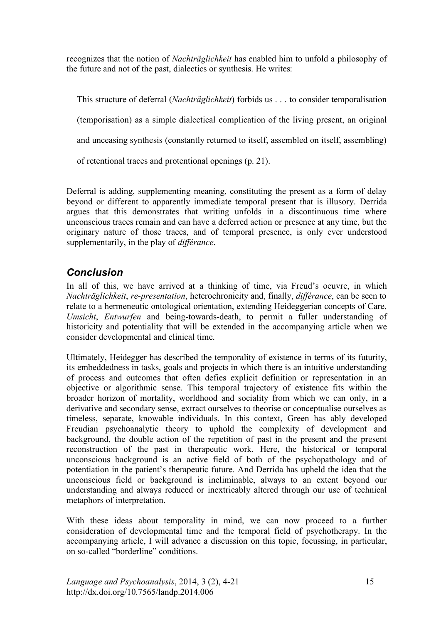recognizes that the notion of *Nachträglichkeit* has enabled him to unfold a philosophy of the future and not of the past, dialectics or synthesis. He writes:

This structure of deferral (*Nachträglichkeit*) forbids us . . . to consider temporalisation (temporisation) as a simple dialectical complication of the living present, an original and unceasing synthesis (constantly returned to itself, assembled on itself, assembling) of retentional traces and protentional openings (p. 21).

Deferral is adding, supplementing meaning, constituting the present as a form of delay beyond or different to apparently immediate temporal present that is illusory. Derrida argues that this demonstrates that writing unfolds in a discontinuous time where unconscious traces remain and can have a deferred action or presence at any time, but the originary nature of those traces, and of temporal presence, is only ever understood supplementarily, in the play of *différance*.

### *Conclusion*

In all of this, we have arrived at a thinking of time, via Freud's oeuvre, in which *Nachträglichkeit*, *re*-*presentation*, heterochronicity and, finally, *différance*, can be seen to relate to a hermeneutic ontological orientation, extending Heideggerian concepts of Care, *Umsicht*, *Entwurfen* and being-towards-death, to permit a fuller understanding of historicity and potentiality that will be extended in the accompanying article when we consider developmental and clinical time.

Ultimately, Heidegger has described the temporality of existence in terms of its futurity, its embeddedness in tasks, goals and projects in which there is an intuitive understanding of process and outcomes that often defies explicit definition or representation in an objective or algorithmic sense. This temporal trajectory of existence fits within the broader horizon of mortality, worldhood and sociality from which we can only, in a derivative and secondary sense, extract ourselves to theorise or conceptualise ourselves as timeless, separate, knowable individuals. In this context, Green has ably developed Freudian psychoanalytic theory to uphold the complexity of development and background, the double action of the repetition of past in the present and the present reconstruction of the past in therapeutic work. Here, the historical or temporal unconscious background is an active field of both of the psychopathology and of potentiation in the patient's therapeutic future. And Derrida has upheld the idea that the unconscious field or background is ineliminable, always to an extent beyond our understanding and always reduced or inextricably altered through our use of technical metaphors of interpretation.

With these ideas about temporality in mind, we can now proceed to a further consideration of developmental time and the temporal field of psychotherapy. In the accompanying article, I will advance a discussion on this topic, focussing, in particular, on so-called "borderline" conditions.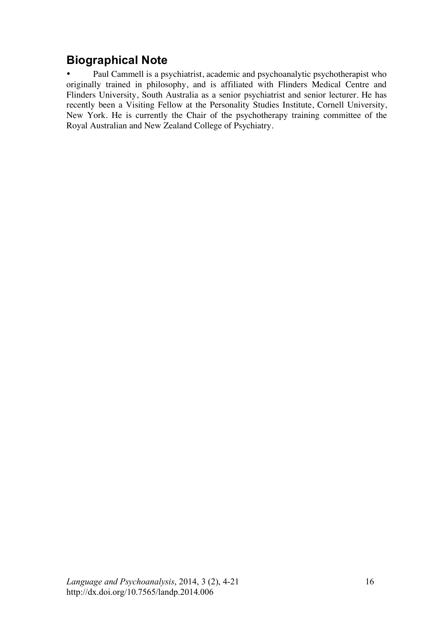# **Biographical Note**

• Paul Cammell is a psychiatrist, academic and psychoanalytic psychotherapist who originally trained in philosophy, and is affiliated with Flinders Medical Centre and Flinders University, South Australia as a senior psychiatrist and senior lecturer. He has recently been a Visiting Fellow at the Personality Studies Institute, Cornell University, New York. He is currently the Chair of the psychotherapy training committee of the Royal Australian and New Zealand College of Psychiatry.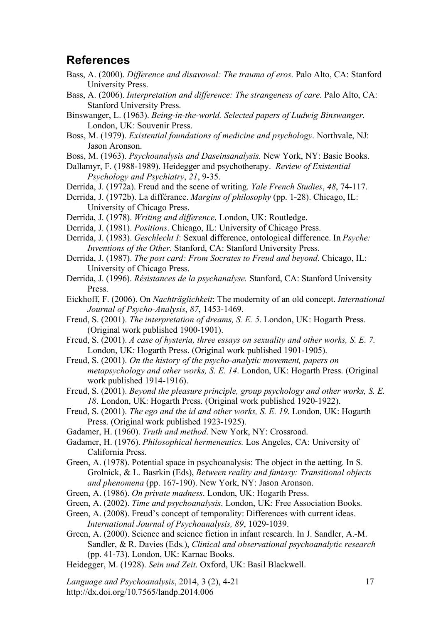#### **References**

- Bass, A. (2000). *Difference and disavowal: The trauma of eros*. Palo Alto, CA: Stanford University Press.
- Bass, A. (2006). *Interpretation and difference: The strangeness of care*. Palo Alto, CA: Stanford University Press.
- Binswanger, L. (1963). *Being-in-the-world. Selected papers of Ludwig Binswanger*. London, UK: Souvenir Press.
- Boss, M. (1979). *Existential foundations of medicine and psychology*. Northvale, NJ: Jason Aronson.
- Boss, M. (1963). *Psychoanalysis and Daseinsanalysis.* New York, NY: Basic Books.

Dallamyr, F. (1988-1989). Heidegger and psychotherapy. *Review of Existential Psychology and Psychiatry*, *21*, 9-35.

- Derrida, J. (1972a). Freud and the scene of writing. *Yale French Studies*, *48*, 74-117.
- Derrida, J. (1972b). La différance. *Margins of philosophy* (pp. 1-28). Chicago, IL: University of Chicago Press.
- Derrida, J. (1978). *Writing and difference*. London, UK: Routledge.
- Derrida, J. (1981). *Positions*. Chicago, IL: University of Chicago Press.
- Derrida, J. (1983). *Geschlecht I*: Sexual difference, ontological difference. In *Psyche: Inventions of the Other.* Stanford, CA: Stanford University Press.
- Derrida, J. (1987). *The post card: From Socrates to Freud and beyond*. Chicago, IL: University of Chicago Press.
- Derrida, J. (1996). *Résistances de la psychanalyse.* Stanford, CA: Stanford University Press.
- Eickhoff, F. (2006). On *Nachträglichkeit*: The modernity of an old concept. *International Journal of Psycho-Analysis*, *87*, 1453-1469.
- Freud, S. (2001). *The interpretation of dreams, S. E. 5*. London, UK: Hogarth Press. (Original work published 1900-1901).
- Freud, S. (2001). *A case of hysteria, three essays on sexuality and other works, S. E. 7*. London, UK: Hogarth Press. (Original work published 1901-1905).
- Freud, S. (2001). *On the history of the psycho-analytic movement, papers on metapsychology and other works, S. E. 14*. London, UK: Hogarth Press. (Original work published 1914-1916).
- Freud, S. (2001). *Beyond the pleasure principle, group psychology and other works, S. E. 18*. London, UK: Hogarth Press. (Original work published 1920-1922).
- Freud, S. (2001). *The ego and the id and other works, S. E. 19*. London, UK: Hogarth Press. (Original work published 1923-1925).
- Gadamer, H. (1960). *Truth and method*. New York, NY: Crossroad.
- Gadamer, H. (1976). *Philosophical hermeneutics.* Los Angeles, CA: University of California Press.
- Green, A. (1978). Potential space in psychoanalysis: The object in the aetting. In S. Grolnick, & L. Basrkin (Eds), *Between reality and fantasy: Transitional objects and phenomena* (pp. 167-190). New York, NY: Jason Aronson.
- Green, A. (1986). *On private madness*. London, UK: Hogarth Press.
- Green, A. (2002). *Time and psychoanalysis*. London, UK: Free Association Books.
- Green, A. (2008). Freud's concept of temporality: Differences with current ideas. *International Journal of Psychoanalysis, 89*, 1029-1039.
- Green, A. (2000). Science and science fiction in infant research. In J. Sandler, A.-M. Sandler, & R. Davies (Eds.), *Clinical and observational psychoanalytic research*  (pp. 41-73). London, UK: Karnac Books.
- Heidegger, M. (1928). *Sein und Zeit*. Oxford, UK: Basil Blackwell.